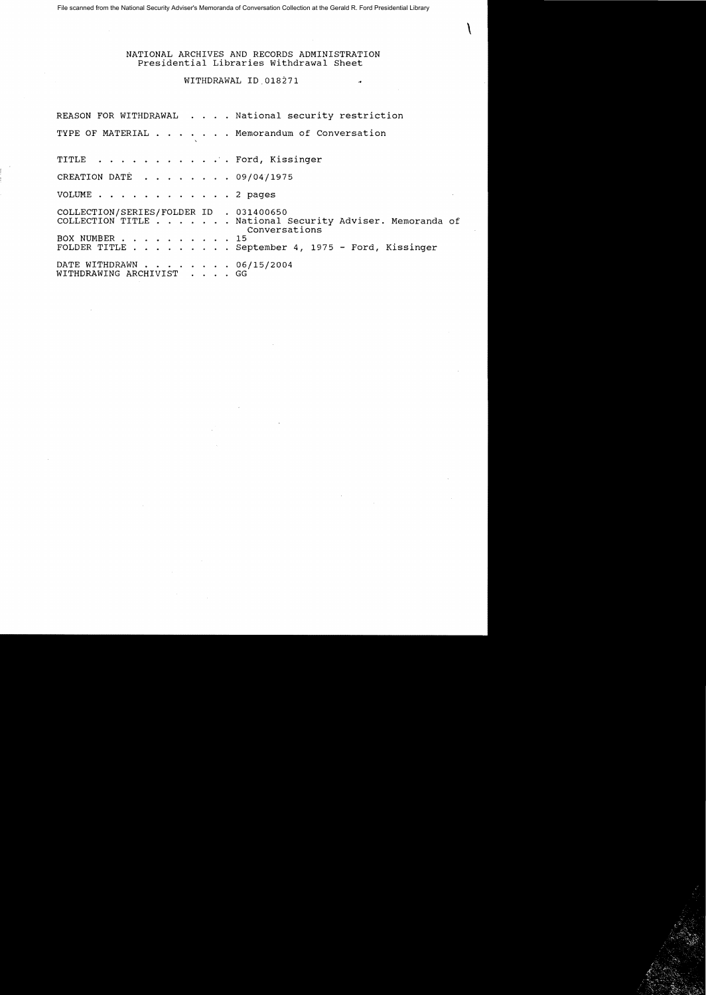File scanned from the National Security Adviser's Memoranda of Conversation Collection at the Gerald R. Ford Presidential Library

NATIONAL ARCHIVES AND RECORDS ADMINISTRATION Presidential Libraries Withdrawal Sheet

 $\tilde{\boldsymbol{\mathcal{A}}}$ 

 $\mathcal{L}$ 

## WITHDRAWAL ID,018271

|                                                          | REASON FOR WITHDRAWAL National security restriction                       |
|----------------------------------------------------------|---------------------------------------------------------------------------|
|                                                          | TYPE OF MATERIAL Memorandum of Conversation                               |
| TITLE Ford, Kissinger                                    |                                                                           |
| CREATION DATÉ 09/04/1975                                 |                                                                           |
| VOLUME 2 pages                                           |                                                                           |
| COLLECTION/SERIES/FOLDER ID . 031400650<br>BOX NUMBER 15 | COLLECTION TITLE National Security Adviser. Memoranda of<br>Conversations |
|                                                          | FOLDER TITLE September 4, 1975 - Ford, Kissinger                          |
| DATE WITHDRAWN 06/15/2004<br>WITHDRAWING ARCHIVIST GG    |                                                                           |